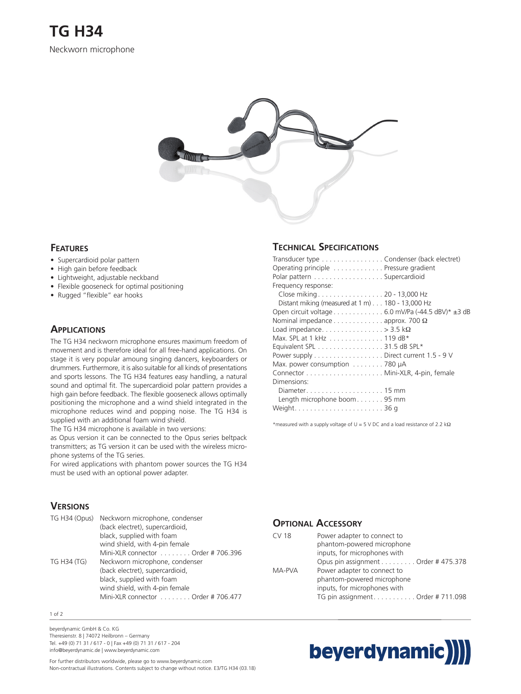

### **FEATURES**

- Supercardioid polar pattern
- High gain before feedback
- Lightweight, adjustable neckband
- Flexible gooseneck for optimal positioning
- Rugged "flexible" ear hooks

### **APPLICATIONS**

The TG H34 neckworn microphone ensures maximum freedom of movement and is therefore ideal for all free-hand applications. On stage it is very popular amoung singing dancers, keyboarders or drummers. Furthermore, it is also suitable for all kinds of presentations and sports lessons. The TG H34 features easy handling, a natural sound and optimal fit. The supercardioid polar pattern provides a high gain before feedback. The flexible gooseneck allows optimally positioning the microphone and a wind shield integrated in the microphone reduces wind and popping noise. The TG H34 is supplied with an additional foam wind shield.

The TG H34 microphone is available in two versions:

as Opus version it can be connected to the Opus series beltpack transmitters; as TG version it can be used with the wireless microphone systems of the TG series.

For wired applications with phantom power sources the TG H34 must be used with an optional power adapter.

# **VERSIONS**

|             | TG H34 (Opus) Neckworn microphone, condenser |
|-------------|----------------------------------------------|
|             | (back electret), supercardioid,              |
|             | black, supplied with foam                    |
|             | wind shield, with 4-pin female               |
|             | Mini-XLR connector Order # 706.396           |
| TG H34 (TG) | Neckworn microphone, condenser               |
|             | (back electret), supercardioid,              |
|             | black, supplied with foam                    |
|             | wind shield, with 4-pin female               |
|             | Mini-XLR connector Order # 706.477           |

1 of 2

beyerdynamic GmbH & Co. KG Theresienstr. 8 | 74072 Heilbronn – Germany Tel. +49 (0) 71 31 / 617 - 0 | Fax +49 (0) 71 31 / 617 - 204 info@beyerdynamic.de | www.beyerdynamic.com

For further distributors worldwide, please go to www.beyerdynamic.com Non-contractual illustrations. Contents subject to change without notice. E3/TG H34 (03.18)

## **TECHNICAL SPECIFICATIONS**

| Transducer type Condenser (back electret)                               |
|-------------------------------------------------------------------------|
| Operating principle  Pressure gradient                                  |
| Polar pattern Supercardioid                                             |
| Frequency response:                                                     |
| Close miking 20 - 13,000 Hz                                             |
| Distant miking (measured at $1 \text{ m}$ ) 180 - 13,000 Hz             |
| Open circuit voltage 6.0 mV/Pa $(-44.5 \text{ dBV})^* \pm 3 \text{ dB}$ |
| Nominal impedance $\dots \dots \dots \dots$ approx. 700 $\Omega$        |
| Load impedance> 3.5 k $\Omega$                                          |
| Max. SPL at 1 kHz 119 dB*                                               |
| Equivalent SPL 31.5 dB SPL*                                             |
| Power supply Direct current 1.5 - 9 V                                   |
| Max. power consumption $\dots\dots\dots$ 780 $\mu$ A                    |
|                                                                         |
| Dimensions:                                                             |
|                                                                         |
| Length microphone boom 95 mm                                            |
|                                                                         |
|                                                                         |

\*measured with a supply voltage of U = 5 V DC and a load resistance of 2.2 k $\Omega$ 

### **OPTIONAL ACCESSORY**

| <b>CV18</b> | Power adapter to connect to         |
|-------------|-------------------------------------|
|             | phantom-powered microphone          |
|             | inputs, for microphones with        |
|             | Opus pin assignment Order # 475.378 |
| MA-PVA      | Power adapter to connect to         |
|             | phantom-powered microphone          |
|             | inputs, for microphones with        |
|             | TG pin assignment. Order # 711.098  |
|             |                                     |